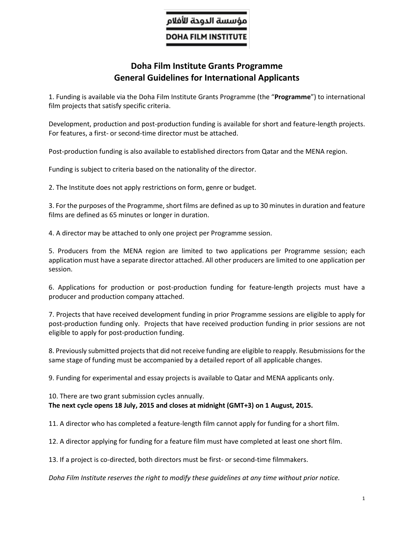## ؤسسة الدوحة للأفلام

**DOHA FILM INSTITUTE** 

## **Doha Film Institute Grants Programme General Guidelines for International Applicants**

1. Funding is available via the Doha Film Institute Grants Programme (the "**Programme**") to international film projects that satisfy specific criteria.

Development, production and post-production funding is available for short and feature-length projects. For features, a first- or second-time director must be attached.

Post-production funding is also available to established directors from Qatar and the MENA region.

Funding is subject to criteria based on the nationality of the director.

2. The Institute does not apply restrictions on form, genre or budget.

3. For the purposes of the Programme, short films are defined as up to 30 minutes in duration and feature films are defined as 65 minutes or longer in duration.

4. A director may be attached to only one project per Programme session.

5. Producers from the MENA region are limited to two applications per Programme session; each application must have a separate director attached. All other producers are limited to one application per session.

6. Applications for production or post-production funding for feature-length projects must have a producer and production company attached.

7. Projects that have received development funding in prior Programme sessions are eligible to apply for post-production funding only. Projects that have received production funding in prior sessions are not eligible to apply for post-production funding.

8. Previously submitted projects that did not receive funding are eligible to reapply. Resubmissions for the same stage of funding must be accompanied by a detailed report of all applicable changes.

9. Funding for experimental and essay projects is available to Qatar and MENA applicants only.

## 10. There are two grant submission cycles annually. **The next cycle opens 18 July, 2015 and closes at midnight (GMT+3) on 1 August, 2015.**

11. A director who has completed a feature-length film cannot apply for funding for a short film.

12. A director applying for funding for a feature film must have completed at least one short film.

13. If a project is co-directed, both directors must be first- or second-time filmmakers.

*Doha Film Institute reserves the right to modify these guidelines at any time without prior notice.*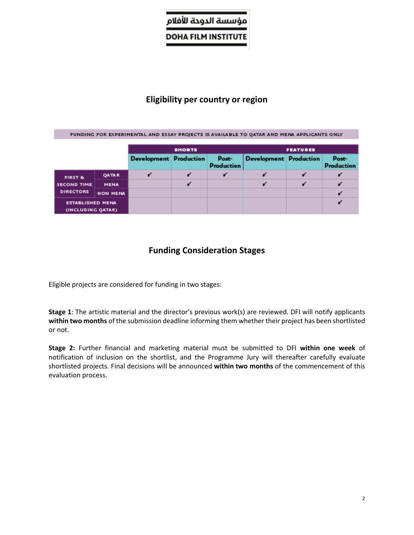# مؤسسة الدودة للأفلام

**DOHA FILM INSTITUTE** 

## **Eligibility per country or region**

| FUNDING FOR EXPERIMENTAL AND ESSAY PROJECTS IS AVAILABLE TO OATAR AND MENA APPLICANTS ONLY |                 |                        |                 |                     |                        |  |                            |  |
|--------------------------------------------------------------------------------------------|-----------------|------------------------|-----------------|---------------------|------------------------|--|----------------------------|--|
|                                                                                            |                 |                        |                 |                     |                        |  |                            |  |
| <b>SHORTS</b>                                                                              |                 |                        | <b>FEATURES</b> |                     |                        |  |                            |  |
|                                                                                            |                 | Development Production |                 | Post-<br>Production | Development Production |  | Post-<br><b>Production</b> |  |
| FIRST &                                                                                    | QATAR           |                        |                 |                     |                        |  |                            |  |
| <b>SECOND TIME</b>                                                                         | <b>MENA</b>     |                        |                 |                     |                        |  |                            |  |
| <b>DIRECTORS</b>                                                                           | <b>NON MENA</b> |                        |                 |                     |                        |  |                            |  |
| <b>ESTABLISHED MENA</b><br>(INCLUDING QATAR)                                               |                 |                        |                 |                     |                        |  |                            |  |

## **Funding Consideration Stages**

Eligible projects are considered for funding in two stages:

**Stage 1**: The artistic material and the director's previous work(s) are reviewed. DFI will notify applicants **within two months** of the submission deadline informing them whether their project has been shortlisted or not.

**Stage 2:** Further financial and marketing material must be submitted to DFI **within one week** of notification of inclusion on the shortlist, and the Programme Jury will thereafter carefully evaluate shortlisted projects. Final decisions will be announced **within two months** of the commencement of this evaluation process.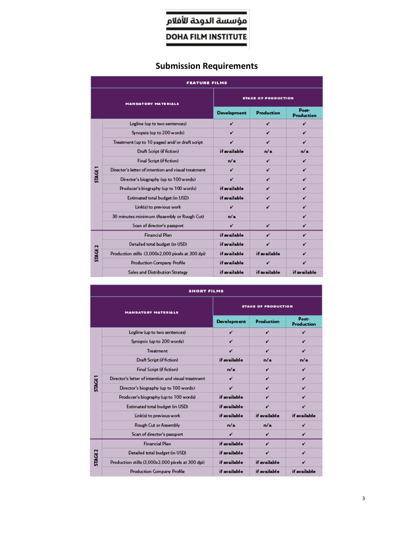# مؤسسة الدوحة للأفلام

**DOHA FILM INSTITUTE** 

# **Submission Requirements**

| <b>FEATURE FILMS</b>       |                                                     |                            |                   |                            |  |
|----------------------------|-----------------------------------------------------|----------------------------|-------------------|----------------------------|--|
| <b>MANDATORY MATERIALS</b> |                                                     | <b>STAGE OF PRODUCTION</b> |                   |                            |  |
|                            |                                                     | Development                | <b>Production</b> | Post-<br><b>Production</b> |  |
| <b>STAGE 1</b>             | Logline (up to two sentences)                       | v                          | v                 | v                          |  |
|                            | Synopsis (up to 200 words)                          | v                          | v                 | v                          |  |
|                            | Treatment (up to 10 pages) and/or draft script      | v                          | v                 | v                          |  |
|                            | Draft Script (if fiction)                           | if available               | n/a               | n/a                        |  |
|                            | Final Script (if fiction)                           | n/a                        | v                 | v                          |  |
|                            | Director's letter of intention and visual treatment | v                          | v                 | v                          |  |
|                            | Director's biography (up to 100 words)              | v                          | v                 | v                          |  |
|                            | Producer's biography (up to 100 words)              | if available               | v                 | v                          |  |
|                            | Estimated total budget (in USD)                     | if available               | v                 | v                          |  |
|                            | Link(s) to previous work                            | v                          | v                 | v                          |  |
|                            | 30 minutes minimum (Assembly or Rough Cut)          | n/a                        |                   | v                          |  |
|                            | Scan of director's passport                         | v                          | v                 | v                          |  |
| <b>STAGE 2</b>             | <b>Financial Plan</b>                               | if available               | v                 | v                          |  |
|                            | Detailed total budget (in USD)                      | if available               | v                 | v                          |  |
|                            | Production stills (3,000x2,000 pixels at 300 dpi)   | if available               | if available      |                            |  |
|                            | Production Company Profile                          | if available               | v                 | v                          |  |
|                            | Sales and Distribution Strategy                     | if available               | if available      | if available               |  |

| <b>SHORT FILMS</b> |                                                      |                            |              |                     |  |
|--------------------|------------------------------------------------------|----------------------------|--------------|---------------------|--|
|                    | <b>MANDATORY MATERIALS</b>                           | <b>STAGE OF PRODUCTION</b> |              |                     |  |
|                    |                                                      | <b>Development</b>         | Production   | Post-<br>Production |  |
| STAGE <sub>1</sub> | Logline (up to two sentences)                        | v                          | v            | v                   |  |
|                    | Synopsis (up to 200 words)                           | v                          | v            | v                   |  |
|                    | Treatment                                            | v                          | v            | v                   |  |
|                    | Draft Script (if fiction)                            | if available               | n/a          | n/a                 |  |
|                    | Final Script (if fiction)                            | n/a                        | v            | v                   |  |
|                    | Director's letter of intention and visual treatment. | v                          | v            | v                   |  |
|                    | Director's biography (up to 100 words)               | v                          | v            | v                   |  |
|                    | Producer's biography (up to 100 words)               | if available               | v            | v                   |  |
|                    | Estimated total budget (in USD)                      | if available               | v            | v                   |  |
|                    | Link(s) to previous work                             | if available               | if available | if available        |  |
|                    | Rough Cut or Assembly                                | n/a                        | n/a          | v                   |  |
|                    | Scan of director's passport                          | v                          | v            | v                   |  |
| <b>STAGE2</b>      | <b>Financial Plan</b>                                | if available               | v            | v                   |  |
|                    | Detailed total budget (in USD)                       | if available               | v            | v                   |  |
|                    | Production stills (3,000x2,000 pixels at 300 dpi)    | if available               | if available | v                   |  |
|                    | Production Company Profile                           | if available               | if available | if available        |  |